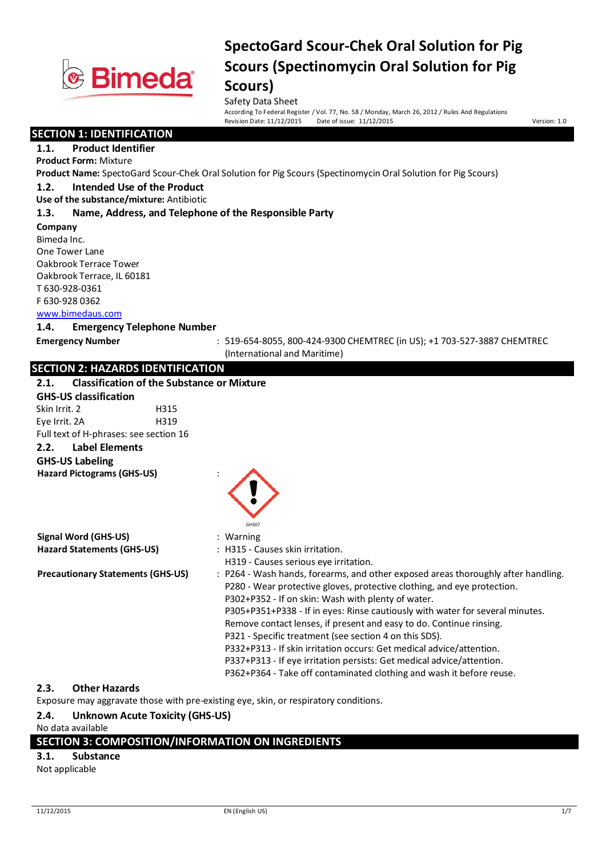

According To Federal Register / Vol. 77, No. 58 / Monday, March 26, 2012 / Rules And Regulations<br>Revision Date: 11/12/2015 Date of issue: 11/12/2015 Pate of issue: 11/12/2015 Date of issue: 11/12/2015

#### **SECTION 1: IDENTIFICATION**

**1.1. Product Identifier**

**Product Form:** Mixture

**Product Name:** SpectoGard Scour-Chek Oral Solution for Pig Scours (Spectinomycin Oral Solution for Pig Scours)

#### **1.2. Intended Use of the Product**

**Use of the substance/mixture:** Antibiotic

#### **1.3. Name, Address, and Telephone of the Responsible Party**

**Company**  Bimeda Inc. One Tower Lane Oakbrook Terrace Tower Oakbrook Terrace, IL 60181 T 630-928-0361 F 630-928 0362

www.bimedaus.com

#### **1.4. Emergency Telephone Number**

**Emergency Number** : 519-654-8055, 800-424-9300 CHEMTREC (in US); +1 703-527-3887 CHEMTREC (International and Maritime)

### **SECTION 2: HAZARDS IDENTIFICATION**

| 2.1.                              | <b>Classification of the Substance or Mixture</b> |                                                                                                                                                                                                                                                                                                                                                                                                                                                                                                                                                                                                                                                               |
|-----------------------------------|---------------------------------------------------|---------------------------------------------------------------------------------------------------------------------------------------------------------------------------------------------------------------------------------------------------------------------------------------------------------------------------------------------------------------------------------------------------------------------------------------------------------------------------------------------------------------------------------------------------------------------------------------------------------------------------------------------------------------|
| <b>GHS-US classification</b>      |                                                   |                                                                                                                                                                                                                                                                                                                                                                                                                                                                                                                                                                                                                                                               |
| Skin Irrit. 2                     | H315                                              |                                                                                                                                                                                                                                                                                                                                                                                                                                                                                                                                                                                                                                                               |
| Eye Irrit. 2A                     | H319                                              |                                                                                                                                                                                                                                                                                                                                                                                                                                                                                                                                                                                                                                                               |
|                                   | Full text of H-phrases: see section 16            |                                                                                                                                                                                                                                                                                                                                                                                                                                                                                                                                                                                                                                                               |
| 2.2.                              | Label Elements                                    |                                                                                                                                                                                                                                                                                                                                                                                                                                                                                                                                                                                                                                                               |
| <b>GHS-US Labeling</b>            |                                                   |                                                                                                                                                                                                                                                                                                                                                                                                                                                                                                                                                                                                                                                               |
| <b>Hazard Pictograms (GHS-US)</b> |                                                   | GHS07                                                                                                                                                                                                                                                                                                                                                                                                                                                                                                                                                                                                                                                         |
| <b>Signal Word (GHS-US)</b>       |                                                   | : Warning                                                                                                                                                                                                                                                                                                                                                                                                                                                                                                                                                                                                                                                     |
| <b>Hazard Statements (GHS-US)</b> |                                                   | : H315 - Causes skin irritation.<br>H319 - Causes serious eye irritation.                                                                                                                                                                                                                                                                                                                                                                                                                                                                                                                                                                                     |
|                                   | <b>Precautionary Statements (GHS-US)</b>          | : P264 - Wash hands, forearms, and other exposed areas thoroughly after handling.<br>P280 - Wear protective gloves, protective clothing, and eye protection.<br>P302+P352 - If on skin: Wash with plenty of water.<br>P305+P351+P338 - If in eyes: Rinse cautiously with water for several minutes.<br>Remove contact lenses, if present and easy to do. Continue rinsing.<br>P321 - Specific treatment (see section 4 on this SDS).<br>P332+P313 - If skin irritation occurs: Get medical advice/attention.<br>P337+P313 - If eye irritation persists: Get medical advice/attention.<br>P362+P364 - Take off contaminated clothing and wash it before reuse. |

#### **2.3. Other Hazards**

Exposure may aggravate those with pre-existing eye, skin, or respiratory conditions.

#### **2.4. Unknown Acute Toxicity (GHS-US)**

#### No data available

### **SECTION 3: COMPOSITION/INFORMATION ON INGREDIENTS**

#### **3.1. Substance**

Not applicable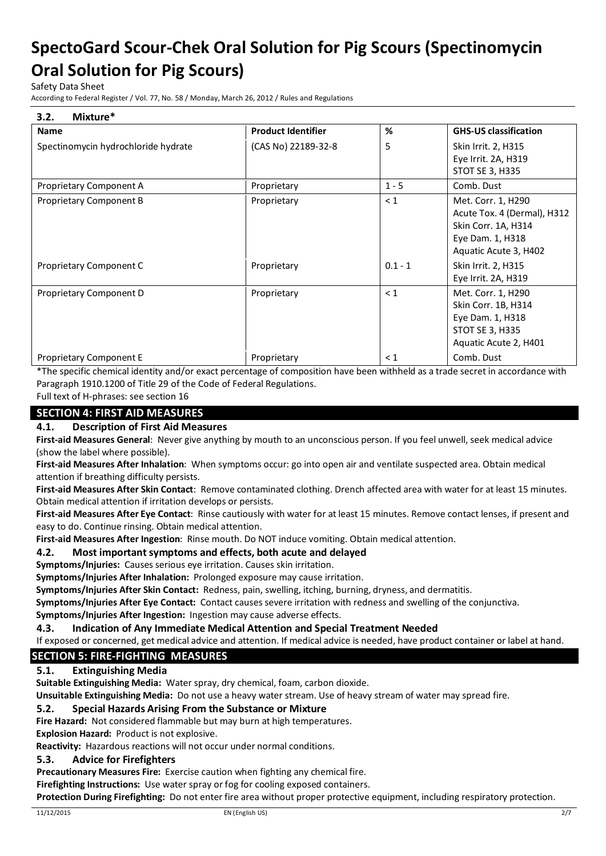Safety Data Sheet

According to Federal Register / Vol. 77, No. 58 / Monday, March 26, 2012 / Rules and Regulations

#### **3.2. Mixture\***

| <b>Name</b>                         | <b>Product Identifier</b> | %         | <b>GHS-US classification</b>                                                                                          |
|-------------------------------------|---------------------------|-----------|-----------------------------------------------------------------------------------------------------------------------|
| Spectinomycin hydrochloride hydrate | (CAS No) 22189-32-8       | 5         | Skin Irrit. 2, H315<br>Eye Irrit. 2A, H319<br><b>STOT SE 3, H335</b>                                                  |
| Proprietary Component A             | Proprietary               | $1 - 5$   | Comb. Dust                                                                                                            |
| Proprietary Component B             | Proprietary               | $\leq 1$  | Met. Corr. 1, H290<br>Acute Tox. 4 (Dermal), H312<br>Skin Corr. 1A, H314<br>Eye Dam. 1, H318<br>Aquatic Acute 3, H402 |
| Proprietary Component C             | Proprietary               | $0.1 - 1$ | Skin Irrit. 2, H315<br>Eye Irrit. 2A, H319                                                                            |
| Proprietary Component D             | Proprietary               | $\leq 1$  | Met. Corr. 1, H290<br>Skin Corr. 1B, H314<br>Eye Dam. 1, H318<br>STOT SE 3, H335<br>Aquatic Acute 2, H401             |
| Proprietary Component E             | Proprietary               | $\leq 1$  | Comb. Dust                                                                                                            |

\*The specific chemical identity and/or exact percentage of composition have been withheld as a trade secret in accordance with Paragraph 1910.1200 of Title 29 of the Code of Federal Regulations.

Full text of H-phrases: see section 16

#### **SECTION 4: FIRST AID MEASURES**

#### **4.1. Description of First Aid Measures**

**First-aid Measures General**: Never give anything by mouth to an unconscious person. If you feel unwell, seek medical advice (show the label where possible).

**First-aid Measures After Inhalation**: When symptoms occur: go into open air and ventilate suspected area. Obtain medical attention if breathing difficulty persists.

**First-aid Measures After Skin Contact**: Remove contaminated clothing. Drench affected area with water for at least 15 minutes. Obtain medical attention if irritation develops or persists.

**First-aid Measures After Eye Contact**: Rinse cautiously with water for at least 15 minutes. Remove contact lenses, if present and easy to do. Continue rinsing. Obtain medical attention.

**First-aid Measures After Ingestion**: Rinse mouth. Do NOT induce vomiting. Obtain medical attention.

#### **4.2. Most important symptoms and effects, both acute and delayed**

**Symptoms/Injuries:** Causes serious eye irritation. Causes skin irritation.

**Symptoms/Injuries After Inhalation:** Prolonged exposure may cause irritation.

**Symptoms/Injuries After Skin Contact:** Redness, pain, swelling, itching, burning, dryness, and dermatitis.

**Symptoms/Injuries After Eye Contact:** Contact causes severe irritation with redness and swelling of the conjunctiva.

**Symptoms/Injuries After Ingestion:** Ingestion may cause adverse effects.

**4.3. Indication of Any Immediate Medical Attention and Special Treatment Needed**

#### If exposed or concerned, get medical advice and attention. If medical advice is needed, have product container or label at hand.

### **SECTION 5: FIRE-FIGHTING MEASURES**

### **5.1. Extinguishing Media**

**Suitable Extinguishing Media:** Water spray, dry chemical, foam, carbon dioxide.

**Unsuitable Extinguishing Media:** Do not use a heavy water stream. Use of heavy stream of water may spread fire.

#### **5.2. Special Hazards Arising From the Substance or Mixture**

**Fire Hazard:** Not considered flammable but may burn at high temperatures.

**Explosion Hazard:** Product is not explosive.

**Reactivity:** Hazardous reactions will not occur under normal conditions.

#### **5.3. Advice for Firefighters**

**Precautionary Measures Fire:** Exercise caution when fighting any chemical fire.

**Firefighting Instructions:** Use water spray or fog for cooling exposed containers.

**Protection During Firefighting:** Do not enter fire area without proper protective equipment, including respiratory protection.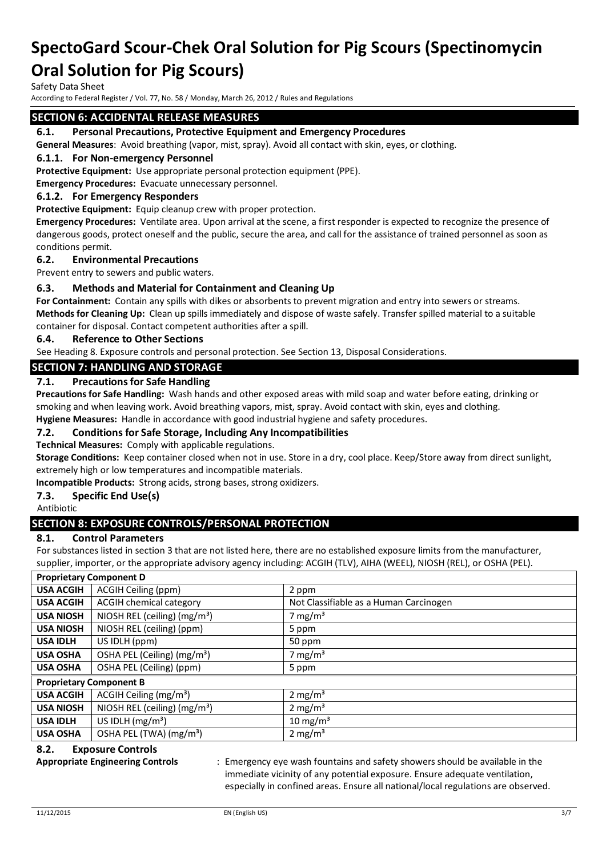Safety Data Sheet

According to Federal Register / Vol. 77, No. 58 / Monday, March 26, 2012 / Rules and Regulations

### **SECTION 6: ACCIDENTAL RELEASE MEASURES**

#### **6.1. Personal Precautions, Protective Equipment and Emergency Procedures**

**General Measures**: Avoid breathing (vapor, mist, spray). Avoid all contact with skin, eyes, or clothing.

#### **6.1.1. For Non-emergency Personnel**

**Protective Equipment:** Use appropriate personal protection equipment (PPE).

**Emergency Procedures:** Evacuate unnecessary personnel.

#### **6.1.2. For Emergency Responders**

**Protective Equipment:** Equip cleanup crew with proper protection.

**Emergency Procedures:** Ventilate area. Upon arrival at the scene, a first responder is expected to recognize the presence of dangerous goods, protect oneself and the public, secure the area, and call for the assistance of trained personnel as soon as conditions permit.

#### **6.2. Environmental Precautions**

Prevent entry to sewers and public waters.

#### **6.3. Methods and Material for Containment and Cleaning Up**

**For Containment:** Contain any spills with dikes or absorbents to prevent migration and entry into sewers or streams. **Methods for Cleaning Up:** Clean up spills immediately and dispose of waste safely. Transfer spilled material to a suitable container for disposal. Contact competent authorities after a spill.

#### **6.4. Reference to Other Sections**

See Heading 8. Exposure controls and personal protection. See Section 13, Disposal Considerations.

#### **SECTION 7: HANDLING AND STORAGE**

#### **7.1. Precautions for Safe Handling**

**Precautions for Safe Handling:** Wash hands and other exposed areas with mild soap and water before eating, drinking or smoking and when leaving work. Avoid breathing vapors, mist, spray. Avoid contact with skin, eyes and clothing. **Hygiene Measures:** Handle in accordance with good industrial hygiene and safety procedures.

#### **7.2. Conditions for Safe Storage, Including Any Incompatibilities**

**Technical Measures:** Comply with applicable regulations.

**Storage Conditions:** Keep container closed when not in use. Store in a dry, cool place. Keep/Store away from direct sunlight, extremely high or low temperatures and incompatible materials.

**Incompatible Products:** Strong acids, strong bases, strong oxidizers.

#### **7.3. Specific End Use(s)**

Antibiotic

#### **SECTION 8: EXPOSURE CONTROLS/PERSONAL PROTECTION**

#### **8.1. Control Parameters**

For substances listed in section 3 that are not listed here, there are no established exposure limits from the manufacturer, supplier, importer, or the appropriate advisory agency including: ACGIH (TLV), AIHA (WEEL), NIOSH (REL), or OSHA (PEL).

| <b>Proprietary Component D</b> |                                         |                                        |
|--------------------------------|-----------------------------------------|----------------------------------------|
| <b>USA ACGIH</b>               | ACGIH Ceiling (ppm)                     | 2 ppm                                  |
| <b>USA ACGIH</b>               | <b>ACGIH chemical category</b>          | Not Classifiable as a Human Carcinogen |
| <b>USA NIOSH</b>               | NIOSH REL (ceiling) $(mg/m3)$           | 7 mg/m <sup>3</sup>                    |
| <b>USA NIOSH</b>               | NIOSH REL (ceiling) (ppm)               | 5 ppm                                  |
| <b>USA IDLH</b>                | US IDLH (ppm)                           | 50 ppm                                 |
| <b>USA OSHA</b>                | OSHA PEL (Ceiling) (mg/m <sup>3</sup> ) | 7 mg/m <sup>3</sup>                    |
| <b>USA OSHA</b>                | OSHA PEL (Ceiling) (ppm)                | 5 ppm                                  |
|                                | <b>Proprietary Component B</b>          |                                        |
| <b>USA ACGIH</b>               | ACGIH Ceiling $(mg/m3)$                 | 2 mg/m <sup>3</sup>                    |
| <b>USA NIOSH</b>               | NIOSH REL (ceiling) $(mg/m3)$           | 2 mg/m <sup>3</sup>                    |
| <b>USA IDLH</b>                | US IDLH $(mg/m3)$                       | 10 mg/m <sup>3</sup>                   |
| <b>USA OSHA</b>                | OSHA PEL (TWA) (mg/m <sup>3</sup> )     | $2 \text{ mg/m}^3$                     |

#### **8.2. Exposure Controls**

**Appropriate Engineering Controls** : Emergency eye wash fountains and safety showers should be available in the immediate vicinity of any potential exposure. Ensure adequate ventilation, especially in confined areas. Ensure all national/local regulations are observed.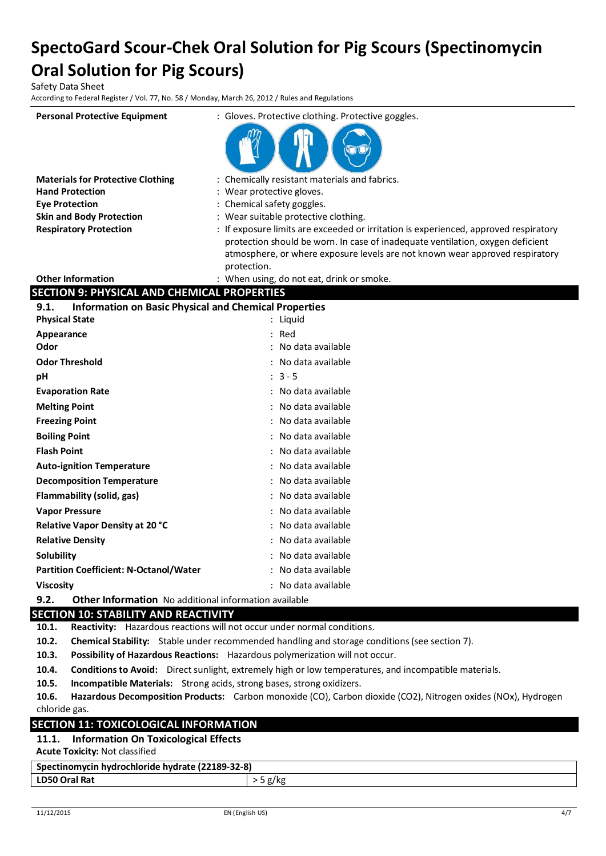Safety Data Sheet

According to Federal Register / Vol. 77, No. 58 / Monday, March 26, 2012 / Rules and Regulations

| <b>Personal Protective Equipment</b>                                 | : Gloves. Protective clothing. Protective goggles.                                                                                                                     |
|----------------------------------------------------------------------|------------------------------------------------------------------------------------------------------------------------------------------------------------------------|
|                                                                      |                                                                                                                                                                        |
| <b>Materials for Protective Clothing</b>                             | : Chemically resistant materials and fabrics.                                                                                                                          |
| <b>Hand Protection</b>                                               | : Wear protective gloves.                                                                                                                                              |
| <b>Eye Protection</b>                                                | : Chemical safety goggles.                                                                                                                                             |
| <b>Skin and Body Protection</b>                                      | : Wear suitable protective clothing.                                                                                                                                   |
| <b>Respiratory Protection</b>                                        | : If exposure limits are exceeded or irritation is experienced, approved respiratory<br>protection should be worn. In case of inadequate ventilation, oxygen deficient |
|                                                                      | atmosphere, or where exposure levels are not known wear approved respiratory                                                                                           |
|                                                                      | protection.                                                                                                                                                            |
| <b>Other Information</b>                                             | : When using, do not eat, drink or smoke.                                                                                                                              |
| <b>SECTION 9: PHYSICAL AND CHEMICAL PROPERTIES</b>                   |                                                                                                                                                                        |
| 9.1.<br><b>Information on Basic Physical and Chemical Properties</b> |                                                                                                                                                                        |
| <b>Physical State</b>                                                | : Liquid                                                                                                                                                               |
| Appearance                                                           | : Red                                                                                                                                                                  |
| Odor                                                                 | : No data available                                                                                                                                                    |
| <b>Odor Threshold</b>                                                | : No data available                                                                                                                                                    |
| pH                                                                   | $: 3 - 5$                                                                                                                                                              |
| <b>Evaporation Rate</b>                                              | : No data available                                                                                                                                                    |
| <b>Melting Point</b>                                                 | : No data available                                                                                                                                                    |
| <b>Freezing Point</b>                                                | : No data available                                                                                                                                                    |
| <b>Boiling Point</b>                                                 | No data available                                                                                                                                                      |
| <b>Flash Point</b>                                                   | : No data available                                                                                                                                                    |
| <b>Auto-ignition Temperature</b>                                     | No data available                                                                                                                                                      |
| <b>Decomposition Temperature</b>                                     | : No data available                                                                                                                                                    |
| Flammability (solid, gas)                                            | : No data available                                                                                                                                                    |
| <b>Vapor Pressure</b>                                                | : No data available                                                                                                                                                    |
| Relative Vapor Density at 20 °C                                      | : No data available                                                                                                                                                    |
| <b>Relative Density</b>                                              | : No data available                                                                                                                                                    |
| Solubility                                                           | : No data available                                                                                                                                                    |
| <b>Partition Coefficient: N-Octanol/Water</b>                        | : No data available                                                                                                                                                    |
| <b>Viscosity</b>                                                     | : No data available                                                                                                                                                    |
| 9.2.<br><b>Other Information</b> No additional information available |                                                                                                                                                                        |

### **SECTION 10: STABILITY AND REACTIVITY**

**10.1. Reactivity:** Hazardous reactions will not occur under normal conditions.

**10.2. Chemical Stability:** Stable under recommended handling and storage conditions (see section 7).

**10.3. Possibility of Hazardous Reactions:** Hazardous polymerization will not occur.

**10.4. Conditions to Avoid:** Direct sunlight, extremely high or low temperatures, and incompatible materials.

**10.5. Incompatible Materials:** Strong acids, strong bases, strong oxidizers.

**10.6. Hazardous Decomposition Products:** Carbon monoxide (CO), Carbon dioxide (CO2), Nitrogen oxides (NOx), Hydrogen chloride gas.

### **SECTION 11: TOXICOLOGICAL INFORMATION**

# **11.1. Information On Toxicological Effects**

**Acute Toxicity:** Not classified

# **Spectinomycin hydrochloride hydrate (22189-32-8)**

**LD50 Oral Rat**  $>$  5 g/kg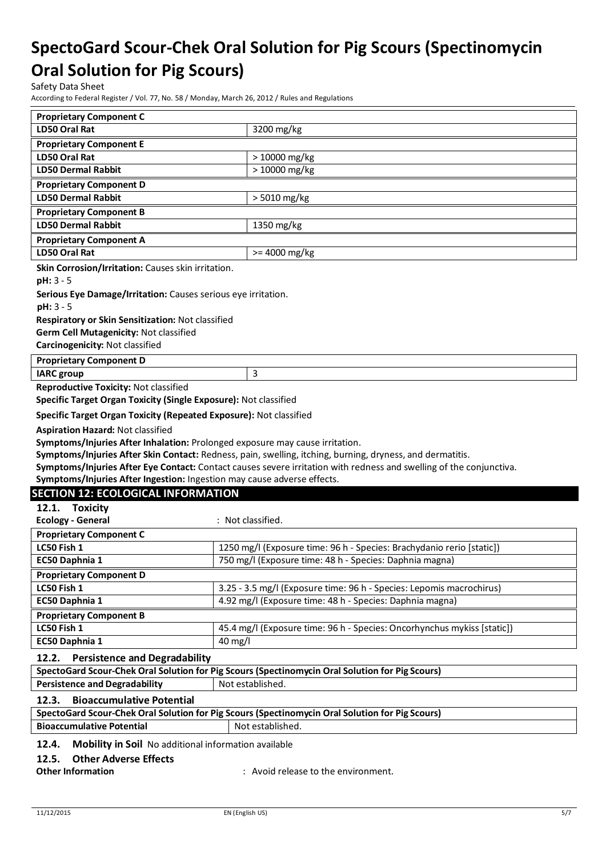Safety Data Sheet

According to Federal Register / Vol. 77, No. 58 / Monday, March 26, 2012 / Rules and Regulations

| <b>Proprietary Component C</b>                                               |                                                                                                                     |
|------------------------------------------------------------------------------|---------------------------------------------------------------------------------------------------------------------|
| LD50 Oral Rat                                                                | 3200 mg/kg                                                                                                          |
| <b>Proprietary Component E</b>                                               |                                                                                                                     |
| <b>LD50 Oral Rat</b>                                                         | > 10000 mg/kg                                                                                                       |
| <b>LD50 Dermal Rabbit</b>                                                    | $>10000$ mg/kg                                                                                                      |
| <b>Proprietary Component D</b>                                               |                                                                                                                     |
| <b>LD50 Dermal Rabbit</b>                                                    | > 5010 mg/kg                                                                                                        |
| <b>Proprietary Component B</b>                                               |                                                                                                                     |
| <b>LD50 Dermal Rabbit</b>                                                    | 1350 mg/kg                                                                                                          |
| <b>Proprietary Component A</b>                                               |                                                                                                                     |
| <b>LD50 Oral Rat</b>                                                         | $>= 4000$ mg/kg                                                                                                     |
| Skin Corrosion/Irritation: Causes skin irritation.                           |                                                                                                                     |
| $pH: 3 - 5$                                                                  |                                                                                                                     |
| Serious Eye Damage/Irritation: Causes serious eye irritation.                |                                                                                                                     |
| $pH: 3 - 5$                                                                  |                                                                                                                     |
| Respiratory or Skin Sensitization: Not classified                            |                                                                                                                     |
| Germ Cell Mutagenicity: Not classified                                       |                                                                                                                     |
| Carcinogenicity: Not classified                                              |                                                                                                                     |
| <b>Proprietary Component D</b>                                               |                                                                                                                     |
| <b>IARC</b> group                                                            | 3                                                                                                                   |
| Reproductive Toxicity: Not classified                                        |                                                                                                                     |
| Specific Target Organ Toxicity (Single Exposure): Not classified             |                                                                                                                     |
| Specific Target Organ Toxicity (Repeated Exposure): Not classified           |                                                                                                                     |
| <b>Aspiration Hazard: Not classified</b>                                     |                                                                                                                     |
|                                                                              |                                                                                                                     |
| Symptoms/Injuries After Inhalation: Prolonged exposure may cause irritation. |                                                                                                                     |
|                                                                              | Symptoms/Injuries After Skin Contact: Redness, pain, swelling, itching, burning, dryness, and dermatitis.           |
|                                                                              | Symptoms/Injuries After Eye Contact: Contact causes severe irritation with redness and swelling of the conjunctiva. |
| Symptoms/Injuries After Ingestion: Ingestion may cause adverse effects.      |                                                                                                                     |
| <b>SECTION 12: ECOLOGICAL INFORMATION</b>                                    |                                                                                                                     |
| 12.1. Toxicity                                                               |                                                                                                                     |
| <b>Ecology - General</b>                                                     | : Not classified.                                                                                                   |
| <b>Proprietary Component C</b>                                               |                                                                                                                     |
| LC50 Fish 1                                                                  | 1250 mg/l (Exposure time: 96 h - Species: Brachydanio rerio [static])                                               |
| <b>EC50 Daphnia 1</b>                                                        | 750 mg/l (Exposure time: 48 h - Species: Daphnia magna)                                                             |
| <b>Proprietary Component D</b>                                               |                                                                                                                     |
| LC50 Fish 1                                                                  | 3.25 - 3.5 mg/l (Exposure time: 96 h - Species: Lepomis macrochirus)                                                |
| EC50 Daphnia 1                                                               | 4.92 mg/l (Exposure time: 48 h - Species: Daphnia magna)                                                            |
| <b>Proprietary Component B</b>                                               |                                                                                                                     |
| LC50 Fish 1                                                                  | 45.4 mg/l (Exposure time: 96 h - Species: Oncorhynchus mykiss [static])                                             |
| EC50 Daphnia 1                                                               | 40 mg/l                                                                                                             |
| <b>Persistence and Degradability</b><br>12.2.                                |                                                                                                                     |
|                                                                              | SpectoGard Scour-Chek Oral Solution for Pig Scours (Spectinomycin Oral Solution for Pig Scours)                     |
| <b>Persistence and Degradability</b>                                         | Not established.                                                                                                    |
| <b>Bioaccumulative Potential</b><br>12.3.                                    |                                                                                                                     |
|                                                                              | SpectoGard Scour-Chek Oral Solution for Pig Scours (Spectinomycin Oral Solution for Pig Scours)                     |
| <b>Bioaccumulative Potential</b>                                             | Not established.                                                                                                    |
| Mobility in Soil No additional information available<br>12.4.                |                                                                                                                     |

**Other Information COLLECT ENGLISION CONTRACT EXECUTE:** Avoid release to the environment.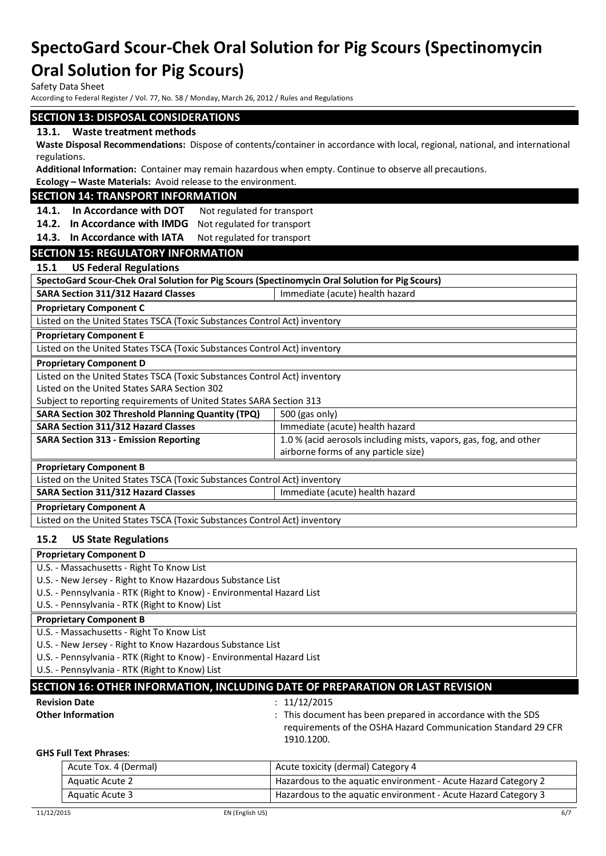Safety Data Sheet

According to Federal Register / Vol. 77, No. 58 / Monday, March 26, 2012 / Rules and Regulations

### **SECTION 13: DISPOSAL CONSIDERATIONS**

### **13.1. Waste treatment methods**

**Waste Disposal Recommendations:** Dispose of contents/container in accordance with local, regional, national, and international regulations.

**Additional Information:** Container may remain hazardous when empty. Continue to observe all precautions.

**Ecology – Waste Materials:** Avoid release to the environment.

## **SECTION 14: TRANSPORT INFORMATION**

14.1. In Accordance with DOT Not regulated for transport

**14.2. In Accordance with IMDG** Not regulated for transport

14.3. In Accordance with IATA Not regulated for transport

### **SECTION 15: REGULATORY INFORMATION**

#### **15.1 US Federal Regulations**

| .<br><b>Primary in the sense of the contract of the contract of the contract of the contract of the contract of the contract of the contract of the contract of the contract of the contract of the contract of the contract of the c</b> |                                 |  |
|-------------------------------------------------------------------------------------------------------------------------------------------------------------------------------------------------------------------------------------------|---------------------------------|--|
| SpectoGard Scour-Chek Oral Solution for Pig Scours (Spectinomycin Oral Solution for Pig Scours)                                                                                                                                           |                                 |  |
| <b>SARA Section 311/312 Hazard Classes</b>                                                                                                                                                                                                | Immediate (acute) health hazard |  |
| <b>Proprietary Component C</b>                                                                                                                                                                                                            |                                 |  |
| Listed on the United States TSCA (Toxic Substances Control Act) inventory                                                                                                                                                                 |                                 |  |
| <b>Proprietary Component E</b>                                                                                                                                                                                                            |                                 |  |
| Listed on the United States TSCA (Toxic Substances Control Act) inventory                                                                                                                                                                 |                                 |  |
| <b>Proprietary Component D</b>                                                                                                                                                                                                            |                                 |  |
| Listed on the United States TSCA (Toxic Substances Control Act) inventory                                                                                                                                                                 |                                 |  |
| Listed on the United States SARA Section 302                                                                                                                                                                                              |                                 |  |
| Subject to reporting requirements of United States SARA Section 313                                                                                                                                                                       |                                 |  |
| SARA Section 302 Threshold Planning Quantity (TPQ)                                                                                                                                                                                        | 500 (gas only)                  |  |
| <b>SARA Section 311/312 Hazard Classes</b><br>Immediate (acute) health hazard                                                                                                                                                             |                                 |  |
| 1.0 % (acid aerosols including mists, vapors, gas, fog, and other<br><b>SARA Section 313 - Emission Reporting</b>                                                                                                                         |                                 |  |
| airborne forms of any particle size)                                                                                                                                                                                                      |                                 |  |
| <b>Proprietary Component B</b>                                                                                                                                                                                                            |                                 |  |
| Listed on the United States TSCA (Toxic Substances Control Act) inventory                                                                                                                                                                 |                                 |  |
| <b>SARA Section 311/312 Hazard Classes</b><br>Immediate (acute) health hazard                                                                                                                                                             |                                 |  |
|                                                                                                                                                                                                                                           |                                 |  |

**Proprietary Component A**

Listed on the United States TSCA (Toxic Substances Control Act) inventory

#### **15.2 US State Regulations**

# **Proprietary Component D**

U.S. - Massachusetts - Right To Know List

U.S. - New Jersey - Right to Know Hazardous Substance List

U.S. - Pennsylvania - RTK (Right to Know) - Environmental Hazard List

U.S. - Pennsylvania - RTK (Right to Know) List

**Proprietary Component B**

U.S. - Massachusetts - Right To Know List

U.S. - New Jersey - Right to Know Hazardous Substance List

U.S. - Pennsylvania - RTK (Right to Know) - Environmental Hazard List

U.S. - Pennsylvania - RTK (Right to Know) List

### **SECTION 16: OTHER INFORMATION, INCLUDING DATE OF PREPARATION OR LAST REVISION**

| <b>Revision Date</b> |  |
|----------------------|--|
| Other Information    |  |

**Revision Date** : 11/12/2015

**Other Information Channel Except Englisher Information**  $\cdot$  This document has been prepared in accordance with the SDS requirements of the OSHA Hazard Communication Standard 29 CFR 1910.1200.

#### **GHS Full Text Phrases**:

| Acute Tox. 4 (Dermal) | Acute toxicity (dermal) Category 4                             |
|-----------------------|----------------------------------------------------------------|
| Aquatic Acute 2       | Hazardous to the aquatic environment - Acute Hazard Category 2 |
| Aquatic Acute 3       | Hazardous to the aquatic environment - Acute Hazard Category 3 |